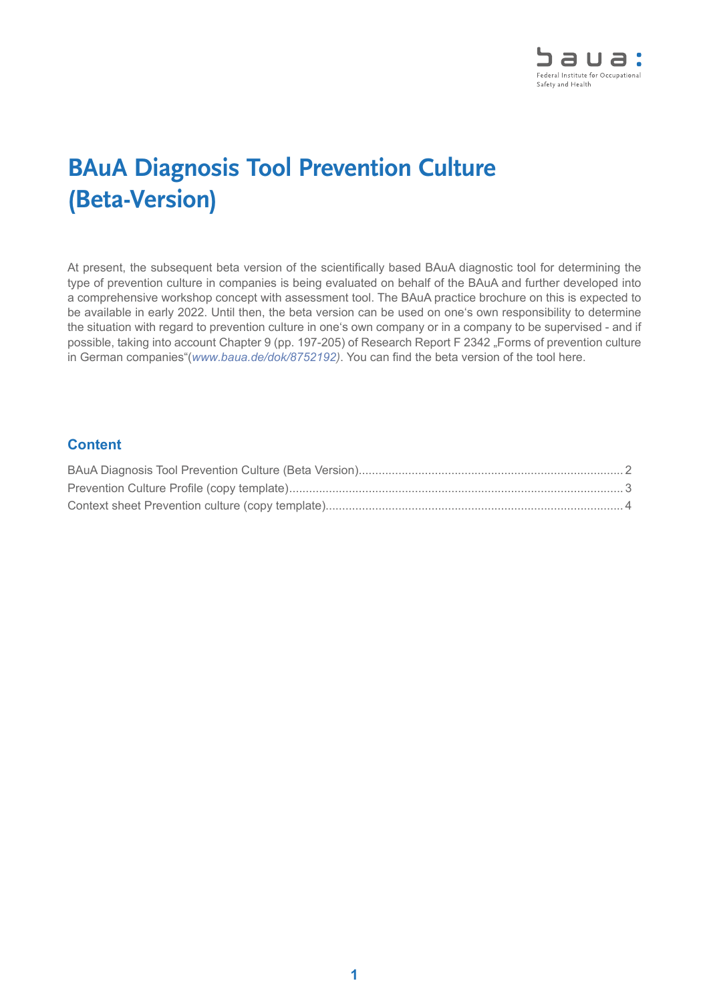

## **BAuA Diagnosis Tool Prevention Culture (Beta-Version)**

At present, the subsequent beta version of the scientifically based BAuA diagnostic tool for determining the type of prevention culture in companies is being evaluated on behalf of the BAuA and further developed into a comprehensive workshop concept with assessment tool. The BAuA practice brochure on this is expected to be available in early 2022. Until then, the beta version can be used on one's own responsibility to determine the situation with regard to prevention culture in one's own company or in a company to be supervised - and if possible, taking into account Chapter 9 (pp. 197-205) of Research Report F 2342 "Forms of prevention culture in German companies"(*[www.baua.de/dok/](http://www.baua.de/dok/8752192)8752192)*. You can find the beta version of the tool here.

## **Content**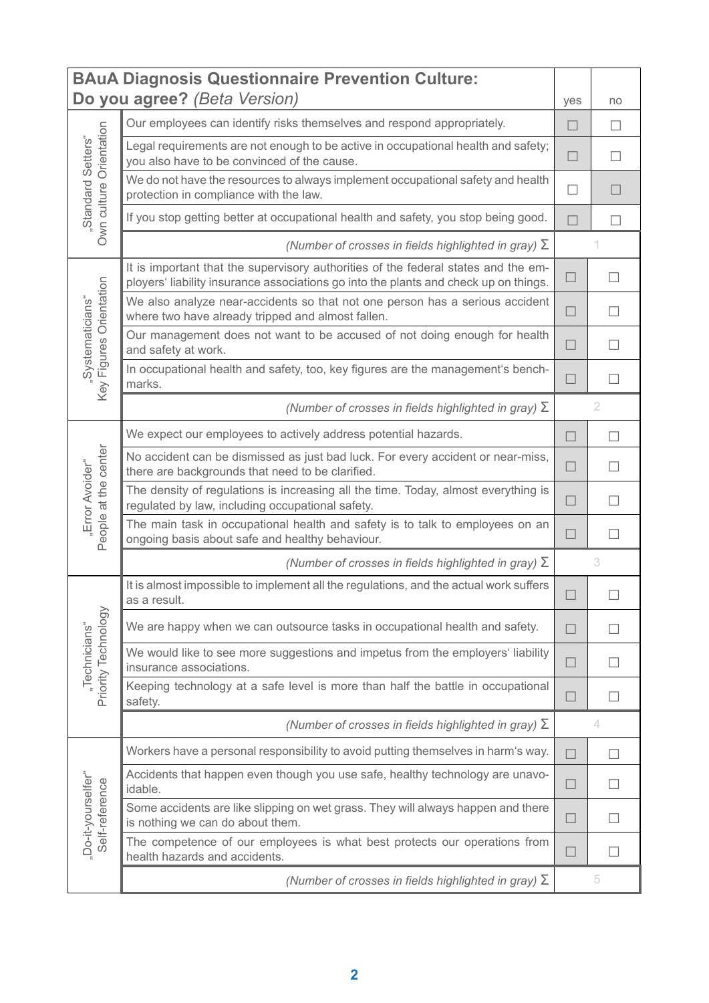<span id="page-1-0"></span>

| <b>BAuA Diagnosis Questionnaire Prevention Culture:</b> |                                                                                                                                                                            |        |                |  |  |
|---------------------------------------------------------|----------------------------------------------------------------------------------------------------------------------------------------------------------------------------|--------|----------------|--|--|
| Do you agree? (Beta Version)                            |                                                                                                                                                                            |        |                |  |  |
| Own culture Orientation<br>"Standard Setters"           | Our employees can identify risks themselves and respond appropriately.                                                                                                     | П      | $\perp$        |  |  |
|                                                         | Legal requirements are not enough to be active in occupational health and safety;<br>you also have to be convinced of the cause.                                           | П      | $\perp$        |  |  |
|                                                         | We do not have the resources to always implement occupational safety and health<br>protection in compliance with the law.                                                  | П      |                |  |  |
|                                                         | If you stop getting better at occupational health and safety, you stop being good.                                                                                         | П      |                |  |  |
|                                                         | (Number of crosses in fields highlighted in gray) $\Sigma$                                                                                                                 |        |                |  |  |
| Key Figures Orientation                                 | It is important that the supervisory authorities of the federal states and the em-<br>ployers' liability insurance associations go into the plants and check up on things. | ⊔      |                |  |  |
|                                                         | We also analyze near-accidents so that not one person has a serious accident<br>where two have already tripped and almost fallen.                                          | $\Box$ |                |  |  |
| "Systematicians"                                        | Our management does not want to be accused of not doing enough for health<br>and safety at work.                                                                           | $\Box$ |                |  |  |
|                                                         | In occupational health and safety, too, key figures are the management's bench-<br>marks.                                                                                  | $\Box$ |                |  |  |
|                                                         | (Number of crosses in fields highlighted in gray) $\Sigma$                                                                                                                 |        | $\overline{2}$ |  |  |
|                                                         | We expect our employees to actively address potential hazards.                                                                                                             | П      |                |  |  |
|                                                         | No accident can be dismissed as just bad luck. For every accident or near-miss,<br>there are backgrounds that need to be clarified.                                        | П      |                |  |  |
| "Error Avoider"                                         | The density of regulations is increasing all the time. Today, almost everything is<br>regulated by law, including occupational safety.                                     | $\Box$ |                |  |  |
| People at the center                                    | The main task in occupational health and safety is to talk to employees on an<br>ongoing basis about safe and healthy behaviour.                                           | ⊔      | $\Box$         |  |  |
|                                                         | (Number of crosses in fields highlighted in gray) $\Sigma$                                                                                                                 |        | 3              |  |  |
|                                                         | It is almost impossible to implement all the regulations, and the actual work suffers<br>as a result.                                                                      |        |                |  |  |
|                                                         | We are happy when we can outsource tasks in occupational health and safety.                                                                                                | П      |                |  |  |
| Priority Technology<br>"Technicians"                    | We would like to see more suggestions and impetus from the employers' liability<br>insurance associations.                                                                 | $\Box$ |                |  |  |
|                                                         | Keeping technology at a safe level is more than half the battle in occupational<br>safety.                                                                                 | $\Box$ |                |  |  |
|                                                         | (Number of crosses in fields highlighted in gray) $\Sigma$                                                                                                                 |        | 4              |  |  |
|                                                         | Workers have a personal responsibility to avoid putting themselves in harm's way.                                                                                          | $\Box$ |                |  |  |
| "Do-it-yourselfer"<br>Self-reference                    | Accidents that happen even though you use safe, healthy technology are unavo-<br>idable.                                                                                   | $\Box$ |                |  |  |
|                                                         | Some accidents are like slipping on wet grass. They will always happen and there<br>is nothing we can do about them.                                                       | П      |                |  |  |
|                                                         | The competence of our employees is what best protects our operations from<br>health hazards and accidents.                                                                 | $\Box$ |                |  |  |
|                                                         | (Number of crosses in fields highlighted in gray) $\Sigma$                                                                                                                 |        | 5              |  |  |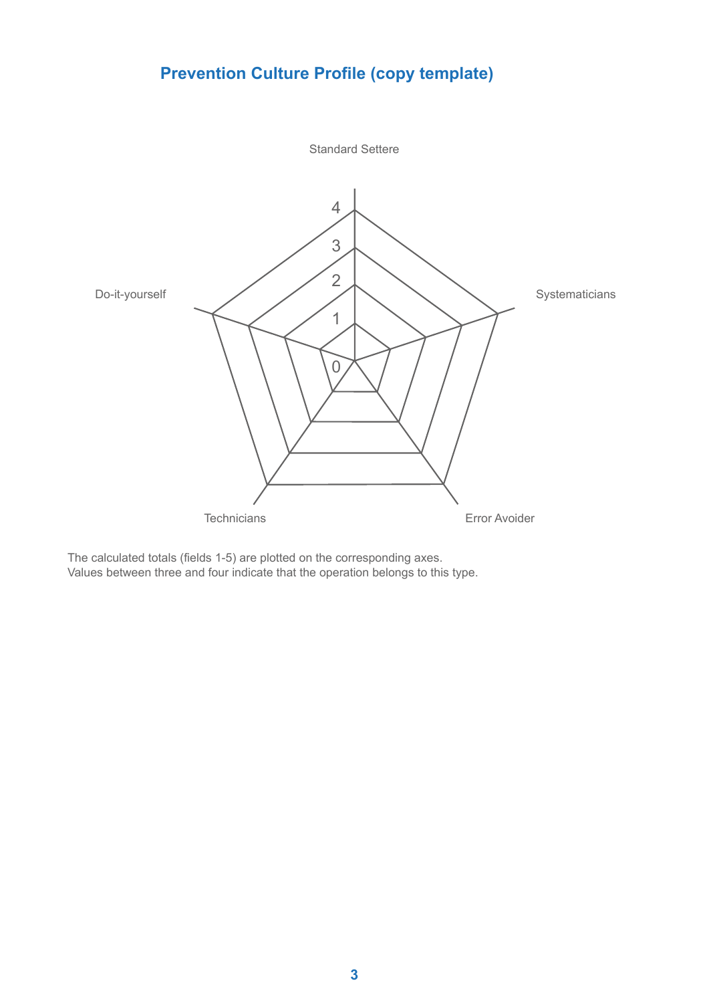## **Prevention Culture Profile (copy template)**

<span id="page-2-0"></span>

The calculated totals (fields 1-5) are plotted on the corresponding axes. Values between three and four indicate that the operation belongs to this type.